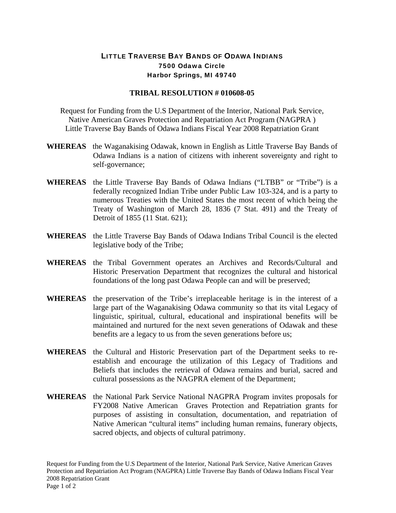## LITTLE TRAVERSE BAY BANDS OF ODAWA INDIANS 7500 Odawa Circle Harbor Springs, MI 49740

## **TRIBAL RESOLUTION # 010608-05**

Request for Funding from the U.S Department of the Interior, National Park Service, Native American Graves Protection and Repatriation Act Program (NAGPRA ) Little Traverse Bay Bands of Odawa Indians Fiscal Year 2008 Repatriation Grant

- **WHEREAS** the Waganakising Odawak, known in English as Little Traverse Bay Bands of Odawa Indians is a nation of citizens with inherent sovereignty and right to self-governance;
- **WHEREAS** the Little Traverse Bay Bands of Odawa Indians ("LTBB" or "Tribe") is a federally recognized Indian Tribe under Public Law 103-324, and is a party to numerous Treaties with the United States the most recent of which being the Treaty of Washington of March 28, 1836 (7 Stat. 491) and the Treaty of Detroit of 1855 (11 Stat. 621);
- **WHEREAS** the Little Traverse Bay Bands of Odawa Indians Tribal Council is the elected legislative body of the Tribe;
- **WHEREAS** the Tribal Government operates an Archives and Records/Cultural and Historic Preservation Department that recognizes the cultural and historical foundations of the long past Odawa People can and will be preserved;
- **WHEREAS** the preservation of the Tribe's irreplaceable heritage is in the interest of a large part of the Waganakising Odawa community so that its vital Legacy of linguistic, spiritual, cultural, educational and inspirational benefits will be maintained and nurtured for the next seven generations of Odawak and these benefits are a legacy to us from the seven generations before us;
- **WHEREAS** the Cultural and Historic Preservation part of the Department seeks to reestablish and encourage the utilization of this Legacy of Traditions and Beliefs that includes the retrieval of Odawa remains and burial, sacred and cultural possessions as the NAGPRA element of the Department;
- **WHEREAS** the National Park Service National NAGPRA Program invites proposals for FY2008 Native American Graves Protection and Repatriation grants for purposes of assisting in consultation, documentation, and repatriation of Native American "cultural items" including human remains, funerary objects, sacred objects, and objects of cultural patrimony.